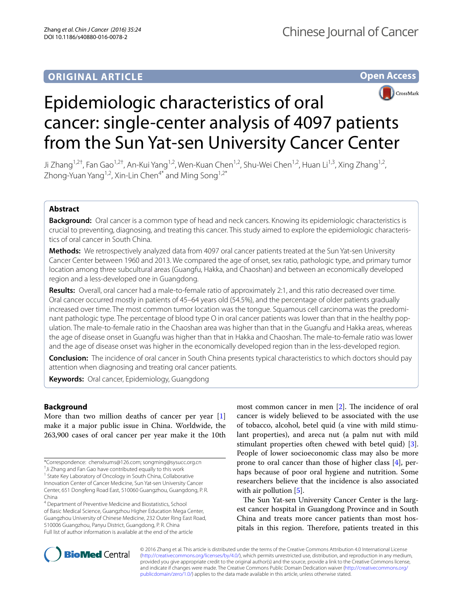**Open Access**



# Epidemiologic characteristics of oral cancer: single-center analysis of 4097 patients from the Sun Yat-sen University Cancer Center

Ji Zhang<sup>1,2†</sup>, Fan Gao<sup>1,2†</sup>, An-Kui Yang<sup>1,2</sup>, Wen-Kuan Chen<sup>1,2</sup>, Shu-Wei Chen<sup>1,2</sup>, Huan Li<sup>1,3</sup>, Xing Zhang<sup>1,2</sup>, Zhong-Yuan Yang<sup>1,2</sup>, Xin-Lin Chen<sup>4\*</sup> and Ming Song<sup>1,2\*</sup>

# **Abstract**

**Background:** Oral cancer is a common type of head and neck cancers. Knowing its epidemiologic characteristics is crucial to preventing, diagnosing, and treating this cancer. This study aimed to explore the epidemiologic characteris‑ tics of oral cancer in South China.

**Methods:** We retrospectively analyzed data from 4097 oral cancer patients treated at the Sun Yat-sen University Cancer Center between 1960 and 2013. We compared the age of onset, sex ratio, pathologic type, and primary tumor location among three subcultural areas (Guangfu, Hakka, and Chaoshan) and between an economically developed region and a less-developed one in Guangdong.

**Results:** Overall, oral cancer had a male-to-female ratio of approximately 2:1, and this ratio decreased over time. Oral cancer occurred mostly in patients of 45–64 years old (54.5%), and the percentage of older patients gradually increased over time. The most common tumor location was the tongue. Squamous cell carcinoma was the predominant pathologic type. The percentage of blood type O in oral cancer patients was lower than that in the healthy population. The male-to-female ratio in the Chaoshan area was higher than that in the Guangfu and Hakka areas, whereas the age of disease onset in Guangfu was higher than that in Hakka and Chaoshan. The male-to-female ratio was lower and the age of disease onset was higher in the economically developed region than in the less-developed region.

**Conclusion:** The incidence of oral cancer in South China presents typical characteristics to which doctors should pay attention when diagnosing and treating oral cancer patients.

**Keywords:** Oral cancer, Epidemiology, Guangdong

# **Background**

More than two million deaths of cancer per year [\[1](#page-4-0)] make it a major public issue in China. Worldwide, the 263,900 cases of oral cancer per year make it the 10th

<sup>4</sup> Department of Preventive Medicine and Biostatistics, School of Basic Medical Science, Guangzhou Higher Education Mega Center, Guangzhou University of Chinese Medicine, 232 Outer Ring East Road, 510006 Guangzhou, Panyu District, Guangdong, P. R. China Full list of author information is available at the end of the article

most common cancer in men [[2\]](#page-4-1). The incidence of oral cancer is widely believed to be associated with the use of tobacco, alcohol, betel quid (a vine with mild stimulant properties), and areca nut (a palm nut with mild stimulant properties often chewed with betel quid) [\[3](#page-4-2)]. People of lower socioeconomic class may also be more prone to oral cancer than those of higher class [[4\]](#page-4-3), perhaps because of poor oral hygiene and nutrition. Some researchers believe that the incidence is also associated with air pollution [\[5](#page-4-4)].

The Sun Yat-sen University Cancer Center is the largest cancer hospital in Guangdong Province and in South China and treats more cancer patients than most hospitals in this region. Therefore, patients treated in this



© 2016 Zhang et al. This article is distributed under the terms of the Creative Commons Attribution 4.0 International License [\(http://creativecommons.org/licenses/by/4.0/\)](http://creativecommons.org/licenses/by/4.0/), which permits unrestricted use, distribution, and reproduction in any medium, provided you give appropriate credit to the original author(s) and the source, provide a link to the Creative Commons license, and indicate if changes were made. The Creative Commons Public Domain Dedication waiver ([http://creativecommons.org/](http://creativecommons.org/publicdomain/zero/1.0/) [publicdomain/zero/1.0/](http://creativecommons.org/publicdomain/zero/1.0/)) applies to the data made available in this article, unless otherwise stated.

<sup>\*</sup>Correspondence: chenxlsums@126.com; songming@sysucc.org.cn

<sup>†</sup> Ji Zhang and Fan Gao have contributed equally to this work

<sup>&</sup>lt;sup>1</sup> State Key Laboratory of Oncology in South China, Collaborative

Innovation Center of Cancer Medicine, Sun Yat-sen University Cancer Center, 651 Dongfeng Road East, 510060 Guangzhou, Guangdong, P. R. China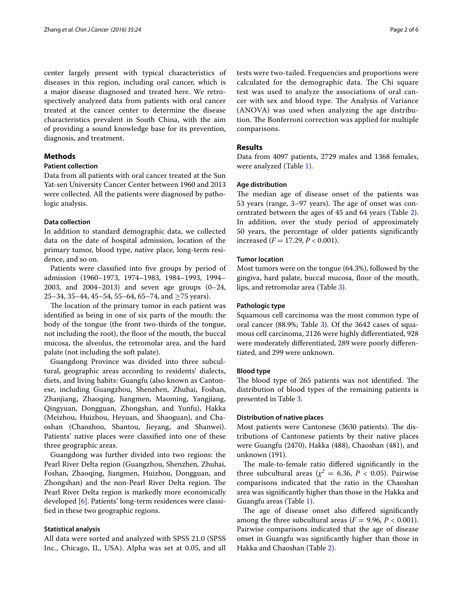center largely present with typical characteristics of diseases in this region, including oral cancer, which is a major disease diagnosed and treated here. We retrospectively analyzed data from patients with oral cancer treated at the cancer center to determine the disease characteristics prevalent in South China, with the aim of providing a sound knowledge base for its prevention, diagnosis, and treatment.

# **Methods**

# **Patient collection**

Data from all patients with oral cancer treated at the Sun Yat-sen University Cancer Center between 1960 and 2013 were collected. All the patients were diagnosed by pathologic analysis.

# **Data collection**

In addition to standard demographic data, we collected data on the date of hospital admission, location of the primary tumor, blood type, native place, long-term residence, and so on.

Patients were classified into five groups by period of admission (1960–1973, 1974–1983, 1984–1993, 1994– 2003, and 2004–2013) and seven age groups (0–24, 25–34, 35–44, 45–54, 55–64, 65–74, and  $\geq$ 75 years).

The location of the primary tumor in each patient was identified as being in one of six parts of the mouth: the body of the tongue (the front two-thirds of the tongue, not including the root), the floor of the mouth, the buccal mucosa, the alveolus, the retromolar area, and the hard palate (not including the soft palate).

Guangdong Province was divided into three subcultural, geographic areas according to residents' dialects, diets, and living habits: Guangfu (also known as Cantonese, including Guangzhou, Shenzhen, Zhuhai, Foshan, Zhanjiang, Zhaoqing, Jiangmen, Maoming, Yangjiang, Qingyuan, Dongguan, Zhongshan, and Yunfu), Hakka (Meizhou, Huizhou, Heyuan, and Shaoguan), and Chaoshan (Chaozhou, Shantou, Jieyang, and Shanwei). Patients' native places were classified into one of these three geographic areas.

Guangdong was further divided into two regions: the Pearl River Delta region (Guangzhou, Shenzhen, Zhuhai, Foshan, Zhaoqing, Jiangmen, Huizhou, Dongguan, and Zhongshan) and the non-Pearl River Delta region. The Pearl River Delta region is markedly more economically developed [\[6](#page-4-5)]. Patients' long-term residences were classified in these two geographic regions.

## **Statistical analysis**

All data were sorted and analyzed with SPSS 21.0 (SPSS Inc., Chicago, IL, USA). Alpha was set at 0.05, and all

tests were two-tailed. Frequencies and proportions were calculated for the demographic data. The Chi square test was used to analyze the associations of oral cancer with sex and blood type. The Analysis of Variance (ANOVA) was used when analyzing the age distribution. The Bonferroni correction was applied for multiple comparisons.

## **Results**

Data from 4097 patients, 2729 males and 1368 females, were analyzed (Table [1\)](#page-2-0).

## **Age distribution**

The median age of disease onset of the patients was 53 years (range, 3–97 years). The age of onset was concentrated between the ages of 45 and 64 years (Table [2](#page-2-1)). In addition, over the study period of approximately 50 years, the percentage of older patients significantly increased (*F* = 17.29, *P* < 0.001).

#### **Tumor location**

Most tumors were on the tongue (64.3%), followed by the gingiva, hard palate, buccal mucosa, floor of the mouth, lips, and retromolar area (Table [3](#page-3-0)).

# **Pathologic type**

Squamous cell carcinoma was the most common type of oral cancer (88.9%; Table [3\)](#page-3-0). Of the 3642 cases of squamous cell carcinoma, 2126 were highly differentiated, 928 were moderately differentiated, 289 were poorly differentiated, and 299 were unknown.

#### **Blood type**

The blood type of 265 patients was not identified. The distribution of blood types of the remaining patients is presented in Table [3](#page-3-0).

#### **Distribution of native places**

Most patients were Cantonese (3630 patients). The distributions of Cantonese patients by their native places were Guangfu (2470), Hakka (488), Chaoshan (481), and unknown (191).

The male-to-female ratio differed significantly in the three subcultural areas ( $\chi^2 = 6.36$ ,  $P < 0.05$ ). Pairwise comparisons indicated that the ratio in the Chaoshan area was significantly higher than those in the Hakka and Guangfu areas (Table [1\)](#page-2-0).

The age of disease onset also differed significantly among the three subcultural areas  $(F = 9.96, P < 0.001)$ . Pairwise comparisons indicated that the age of disease onset in Guangfu was significantly higher than those in Hakka and Chaoshan (Table [2\)](#page-2-1).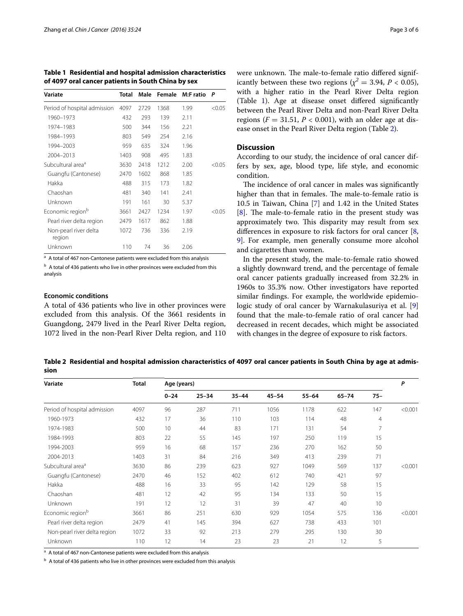<span id="page-2-0"></span>**Table 1 Residential and hospital admission characteristics of 4097 oral cancer patients in South China by sex**

| Variate                         | <b>Total</b> |      |      | Male Female M:F ratio | P      |
|---------------------------------|--------------|------|------|-----------------------|--------|
| Period of hospital admission    | 4097         | 2729 | 1368 | 1.99                  | < 0.05 |
| 1960-1973                       | 432          | 293  | 139  | 2.11                  |        |
| 1974-1983                       | 500          | 344  | 156  | 2.21                  |        |
| 1984-1993                       | 803          | 549  | 254  | 2.16                  |        |
| 1994-2003                       | 959          | 635  | 324  | 1.96                  |        |
| 2004-2013                       | 1403         | 908  | 495  | 1.83                  |        |
| Subcultural area <sup>a</sup>   | 3630         | 2418 | 1212 | 2.00                  | < 0.05 |
| Guangfu (Cantonese)             | 2470         | 1602 | 868  | 1.85                  |        |
| Hakka                           | 488          | 315  | 173  | 1.82                  |        |
| Chaoshan                        | 481          | 340  | 141  | 2.41                  |        |
| Unknown                         | 191          | 161  | 30   | 5.37                  |        |
| Economic region <sup>b</sup>    | 3661         | 2427 | 1234 | 1.97                  | < 0.05 |
| Pearl river delta region        | 2479         | 1617 | 862  | 1.88                  |        |
| Non-pearl river delta<br>region | 1072         | 736  | 336  | 2.19                  |        |
| Unknown                         | 110          | 74   | 36   | 2.06                  |        |

<sup>a</sup> A total of 467 non-Cantonese patients were excluded from this analysis

b A total of 436 patients who live in other provinces were excluded from this analysis

# **Economic conditions**

A total of 436 patients who live in other provinces were excluded from this analysis. Of the 3661 residents in Guangdong, 2479 lived in the Pearl River Delta region, 1072 lived in the non-Pearl River Delta region, and 110 were unknown. The male-to-female ratio differed significantly between these two regions ( $\chi^2$  = 3.94, *P* < 0.05), with a higher ratio in the Pearl River Delta region (Table [1](#page-2-0)). Age at disease onset differed significantly between the Pearl River Delta and non-Pearl River Delta regions ( $F = 31.51$ ,  $P < 0.001$ ), with an older age at disease onset in the Pearl River Delta region (Table [2](#page-2-1)).

# **Discussion**

According to our study, the incidence of oral cancer differs by sex, age, blood type, life style, and economic condition.

The incidence of oral cancer in males was significantly higher than that in females. The male-to-female ratio is 10.5 in Taiwan, China [[7\]](#page-4-6) and 1.42 in the United States [[8\]](#page-5-0). The male-to-female ratio in the present study was approximately two. This disparity may result from sex differences in exposure to risk factors for oral cancer [\[8](#page-5-0), [9\]](#page-5-1). For example, men generally consume more alcohol and cigarettes than women.

In the present study, the male-to-female ratio showed a slightly downward trend, and the percentage of female oral cancer patients gradually increased from 32.2% in 1960s to 35.3% now. Other investigators have reported similar findings. For example, the worldwide epidemiologic study of oral cancer by Warnakulasuriya et al. [\[9](#page-5-1)] found that the male-to-female ratio of oral cancer had decreased in recent decades, which might be associated with changes in the degree of exposure to risk factors.

<span id="page-2-1"></span>**Table 2 Residential and hospital admission characteristics of 4097 oral cancer patients in South China by age at admission**

| Variate                       | Total | Age (years) |           |           |           |           |           |                | P       |
|-------------------------------|-------|-------------|-----------|-----------|-----------|-----------|-----------|----------------|---------|
|                               |       | $0 - 24$    | $25 - 34$ | $35 - 44$ | $45 - 54$ | $55 - 64$ | $65 - 74$ | $75 -$         |         |
| Period of hospital admission  | 4097  | 96          | 287       | 711       | 1056      | 1178      | 622       | 147            | < 0.001 |
| 1960-1973                     | 432   | 17          | 36        | 110       | 103       | 114       | 48        | $\overline{4}$ |         |
| 1974-1983                     | 500   | 10          | 44        | 83        | 171       | 131       | 54        | 7              |         |
| 1984-1993                     | 803   | 22          | 55        | 145       | 197       | 250       | 119       | 15             |         |
| 1994-2003                     | 959   | 16          | 68        | 157       | 236       | 270       | 162       | 50             |         |
| 2004-2013                     | 1403  | 31          | 84        | 216       | 349       | 413       | 239       | 71             |         |
| Subcultural area <sup>a</sup> | 3630  | 86          | 239       | 623       | 927       | 1049      | 569       | 137            | < 0.001 |
| Guangfu (Cantonese)           | 2470  | 46          | 152       | 402       | 612       | 740       | 421       | 97             |         |
| Hakka                         | 488   | 16          | 33        | 95        | 142       | 129       | 58        | 15             |         |
| Chaoshan                      | 481   | 12          | 42        | 95        | 134       | 133       | 50        | 15             |         |
| Unknown                       | 191   | 12          | 12        | 31        | 39        | 47        | 40        | 10             |         |
| Economic region <sup>b</sup>  | 3661  | 86          | 251       | 630       | 929       | 1054      | 575       | 136            | < 0.001 |
| Pearl river delta region      | 2479  | 41          | 145       | 394       | 627       | 738       | 433       | 101            |         |
| Non-pearl river delta region  | 1072  | 33          | 92        | 213       | 279       | 295       | 130       | 30             |         |
| Unknown                       | 110   | 12          | 14        | 23        | 23        | 21        | 12        | 5              |         |

<sup>a</sup> A total of 467 non-Cantonese patients were excluded from this analysis

<sup>b</sup> A total of 436 patients who live in other provinces were excluded from this analysis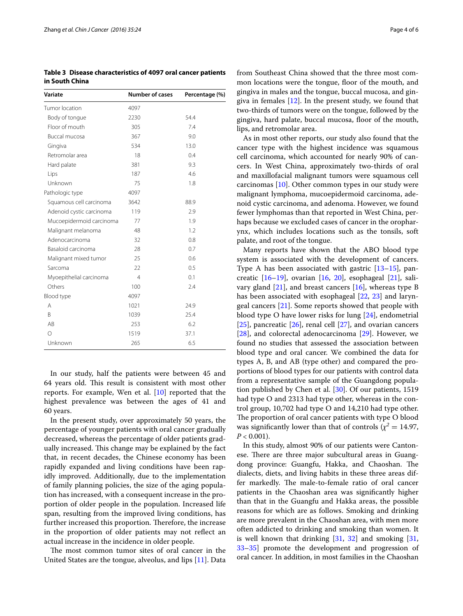<span id="page-3-0"></span>**Table 3 Disease characteristics of 4097 oral cancer patients in South China**

| <b>Number of cases</b> | Percentage (%) |
|------------------------|----------------|
| 4097                   |                |
| 2230                   | 54.4           |
| 305                    | 7.4            |
| 367                    | 9.0            |
| 534                    | 13.0           |
| 18                     | 0.4            |
| 381                    | 9.3            |
| 187                    | 4.6            |
| 75                     | 1.8            |
| 4097                   |                |
| 3642                   | 88.9           |
| 119                    | 2.9            |
| 77                     | 1.9            |
| 48                     | 1.2            |
| 32                     | 0.8            |
| 28                     | 0.7            |
| 25                     | 0.6            |
| 22                     | 0.5            |
| $\overline{4}$         | 0.1            |
| 100                    | 2.4            |
| 4097                   |                |
| 1021                   | 24.9           |
| 1039                   | 25.4           |
| 253                    | 6.2            |
| 1519                   | 37.1           |
| 265                    | 6.5            |
|                        |                |

In our study, half the patients were between 45 and 64 years old. This result is consistent with most other reports. For example, Wen et al. [\[10](#page-5-2)] reported that the highest prevalence was between the ages of 41 and 60 years.

In the present study, over approximately 50 years, the percentage of younger patients with oral cancer gradually decreased, whereas the percentage of older patients gradually increased. This change may be explained by the fact that, in recent decades, the Chinese economy has been rapidly expanded and living conditions have been rapidly improved. Additionally, due to the implementation of family planning policies, the size of the aging population has increased, with a consequent increase in the proportion of older people in the population. Increased life span, resulting from the improved living conditions, has further increased this proportion. Therefore, the increase in the proportion of older patients may not reflect an actual increase in the incidence in older people.

The most common tumor sites of oral cancer in the United States are the tongue, alveolus, and lips [\[11](#page-5-3)]. Data

from Southeast China showed that the three most common locations were the tongue, floor of the mouth, and gingiva in males and the tongue, buccal mucosa, and gingiva in females  $[12]$ . In the present study, we found that two-thirds of tumors were on the tongue, followed by the gingiva, hard palate, buccal mucosa, floor of the mouth, lips, and retromolar area.

As in most other reports, our study also found that the cancer type with the highest incidence was squamous cell carcinoma, which accounted for nearly 90% of cancers. In West China, approximately two-thirds of oral and maxillofacial malignant tumors were squamous cell carcinomas [[10](#page-5-2)]. Other common types in our study were malignant lymphoma, mucoepidermoid carcinoma, adenoid cystic carcinoma, and adenoma. However, we found fewer lymphomas than that reported in West China, perhaps because we excluded cases of cancer in the oropharynx, which includes locations such as the tonsils, soft palate, and root of the tongue.

Many reports have shown that the ABO blood type system is associated with the development of cancers. Type A has been associated with gastric [[13](#page-5-5)[–15](#page-5-6)], pancreatic  $[16–19]$  $[16–19]$  $[16–19]$  $[16–19]$ , ovarian  $[16, 20]$  $[16, 20]$  $[16, 20]$ , esophageal  $[21]$  $[21]$ , salivary gland [[21](#page-5-10)], and breast cancers [[16\]](#page-5-7), whereas type B has been associated with esophageal [\[22](#page-5-11), [23\]](#page-5-12) and laryngeal cancers [[21](#page-5-10)]. Some reports showed that people with blood type O have lower risks for lung [[24](#page-5-13)], endometrial  $[25]$  $[25]$ , pancreatic  $[26]$  $[26]$ , renal cell  $[27]$  $[27]$ , and ovarian cancers [[28\]](#page-5-17), and colorectal adenocarcinoma [[29](#page-5-18)]. However, we found no studies that assessed the association between blood type and oral cancer. We combined the data for types A, B, and AB (type other) and compared the proportions of blood types for our patients with control data from a representative sample of the Guangdong population published by Chen et al. [[30](#page-5-19)]. Of our patients, 1519 had type O and 2313 had type other, whereas in the control group, 10,702 had type O and 14,210 had type other. The proportion of oral cancer patients with type O blood was significantly lower than that of controls ( $\chi^2 = 14.97$ ,  $P < 0.001$ ).

In this study, almost 90% of our patients were Cantonese. There are three major subcultural areas in Guangdong province: Guangfu, Hakka, and Chaoshan. The dialects, diets, and living habits in these three areas differ markedly. The male-to-female ratio of oral cancer patients in the Chaoshan area was significantly higher than that in the Guangfu and Hakka areas, the possible reasons for which are as follows. Smoking and drinking are more prevalent in the Chaoshan area, with men more often addicted to drinking and smoking than women. It is well known that drinking [\[31](#page-5-20), [32](#page-5-21)] and smoking [[31](#page-5-20), [33](#page-5-22)[–35](#page-5-23)] promote the development and progression of oral cancer. In addition, in most families in the Chaoshan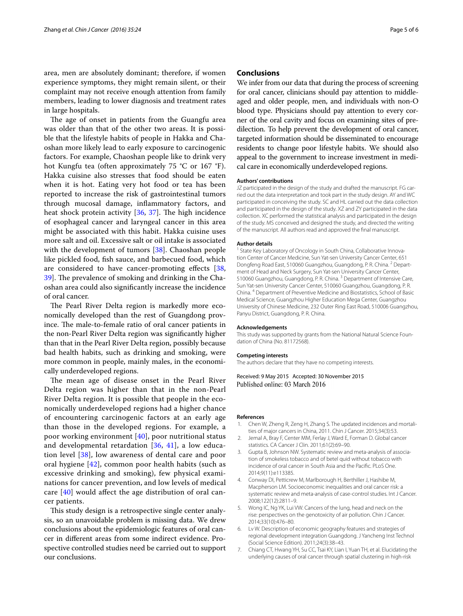area, men are absolutely dominant; therefore, if women experience symptoms, they might remain silent, or their complaint may not receive enough attention from family members, leading to lower diagnosis and treatment rates in large hospitals.

The age of onset in patients from the Guangfu area was older than that of the other two areas. It is possible that the lifestyle habits of people in Hakka and Chaoshan more likely lead to early exposure to carcinogenic factors. For example, Chaoshan people like to drink very hot Kungfu tea (often approximately 75 °C or 167 °F). Hakka cuisine also stresses that food should be eaten when it is hot. Eating very hot food or tea has been reported to increase the risk of gastrointestinal tumors through mucosal damage, inflammatory factors, and heat shock protein activity [[36,](#page-5-24) [37](#page-5-25)]. The high incidence of esophageal cancer and laryngeal cancer in this area might be associated with this habit. Hakka cuisine uses more salt and oil. Excessive salt or oil intake is associated with the development of tumors [[38](#page-5-26)]. Chaoshan people like pickled food, fish sauce, and barbecued food, which are considered to have cancer-promoting effects [\[38](#page-5-26), [39\]](#page-5-27). The prevalence of smoking and drinking in the Chaoshan area could also significantly increase the incidence of oral cancer.

The Pearl River Delta region is markedly more economically developed than the rest of Guangdong province. The male-to-female ratio of oral cancer patients in the non-Pearl River Delta region was significantly higher than that in the Pearl River Delta region, possibly because bad health habits, such as drinking and smoking, were more common in people, mainly males, in the economically underdeveloped regions.

The mean age of disease onset in the Pearl River Delta region was higher than that in the non-Pearl River Delta region. It is possible that people in the economically underdeveloped regions had a higher chance of encountering carcinogenic factors at an early age than those in the developed regions. For example, a poor working environment [[40\]](#page-5-28), poor nutritional status and developmental retardation  $[36, 41]$  $[36, 41]$  $[36, 41]$  $[36, 41]$  $[36, 41]$ , a low education level [[38\]](#page-5-26), low awareness of dental care and poor oral hygiene [\[42](#page-5-30)], common poor health habits (such as excessive drinking and smoking), few physical examinations for cancer prevention, and low levels of medical care [[40](#page-5-28)] would affect the age distribution of oral cancer patients.

This study design is a retrospective single center analysis, so an unavoidable problem is missing data. We drew conclusions about the epidemiologic features of oral cancer in different areas from some indirect evidence. Prospective controlled studies need be carried out to support our conclusions.

# **Conclusions**

We infer from our data that during the process of screening for oral cancer, clinicians should pay attention to middleaged and older people, men, and individuals with non-O blood type. Physicians should pay attention to every corner of the oral cavity and focus on examining sites of predilection. To help prevent the development of oral cancer, targeted information should be disseminated to encourage residents to change poor lifestyle habits. We should also appeal to the government to increase investment in medical care in economically underdeveloped regions.

#### **Authors' contributions**

JZ participated in the design of the study and drafted the manuscript. FG carried out the data interpretation and took part in the study design. AY and WC participated in conceiving the study. SC and HL carried out the data collection and participated in the design of the study. XZ and ZY participated in the data collection. XC performed the statistical analysis and participated in the design of the study. MS conceived and designed the study, and directed the writing of the manuscript. All authors read and approved the final manuscript.

#### **Author details**

<sup>1</sup> State Key Laboratory of Oncology in South China, Collaborative Innovation Center of Cancer Medicine, Sun Yat-sen University Cancer Center, 651 Dongfeng Road East, 510060 Guangzhou, Guangdong, P. R. China. <sup>2</sup> Department of Head and Neck Surgery, Sun Yat-sen University Cancer Center, 510060 Guangzhou, Guangdong, P. R. China. <sup>3</sup> Department of Intensive Care, Sun Yat-sen University Cancer Center, 510060 Guangzhou, Guangdong, P. R. China. 4 Department of Preventive Medicine and Biostatistics, School of Basic Medical Science, Guangzhou Higher Education Mega Center, Guangzhou University of Chinese Medicine, 232 Outer Ring East Road, 510006 Guangzhou, Panyu District, Guangdong, P. R. China.

#### **Acknowledgements**

This study was supported by grants from the National Natural Science Foundation of China (No. 81172568).

#### **Competing interests**

The authors declare that they have no competing interests.

Received: 9 May 2015 Accepted: 30 November 2015 Published online: 03 March 2016

#### **References**

- <span id="page-4-0"></span>1. Chen W, Zheng R, Zeng H, Zhang S. The updated incidences and mortalities of major cancers in China, 2011. Chin J Cancer. 2015;34(3):53.
- <span id="page-4-1"></span>2. Jemal A, Bray F, Center MM, Ferlay J, Ward E, Forman D. Global cancer statistics. CA Cancer J Clin. 2011;61(2):69–90.
- <span id="page-4-2"></span>3. Gupta B, Johnson NW. Systematic review and meta-analysis of association of smokeless tobacco and of betel quid without tobacco with incidence of oral cancer in South Asia and the Pacific. PLoS One. 2014;9(11):e113385.
- <span id="page-4-3"></span>4. Conway DI, Petticrew M, Marlborough H, Berthiller J, Hashibe M, Macpherson LM. Socioeconomic inequalities and oral cancer risk: a systematic review and meta-analysis of case-control studies. Int J Cancer. 2008;122(12):2811–9.
- <span id="page-4-4"></span>5. Wong IC, Ng YK, Lui VW. Cancers of the lung, head and neck on the rise: perspectives on the genotoxicity of air pollution. Chin J Cancer. 2014;33(10):476–80.
- <span id="page-4-5"></span>6. Lv W. Description of economic geography features and strategies of regional development integration Guangdong. J Yancheng Inst Technol (Social Science Edition). 2011;24(3):38–43.
- <span id="page-4-6"></span>7. Chiang CT, Hwang YH, Su CC, Tsai KY, Lian I, Yuan TH, et al. Elucidating the underlying causes of oral cancer through spatial clustering in high-risk